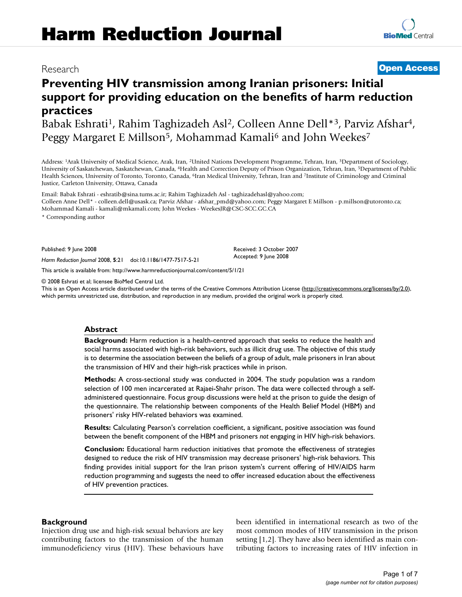# Research **[Open Access](http://www.biomedcentral.com/info/about/charter/)**

# **Preventing HIV transmission among Iranian prisoners: Initial support for providing education on the benefits of harm reduction practices**

Babak Eshrati<sup>1</sup>, Rahim Taghizadeh Asl<sup>2</sup>, Colleen Anne Dell<sup>\*3</sup>, Parviz Afshar<sup>4</sup>, Peggy Margaret E Millson<sup>5</sup>, Mohammad Kamali<sup>6</sup> and John Weekes<sup>7</sup>

Address: 1Arak University of Medical Science, Arak, Iran, 2United Nations Development Programme, Tehran, Iran, 3Department of Sociology, University of Saskatchewan, Saskatchewan, Canada, 4Health and Correction Deputy of Prison Organization, Tehran, Iran, 5Department of Public Health Sciences, University of Toronto, Toronto, Canada, 6Iran Medical University, Tehran, Iran and 7Institute of Criminology and Criminal Justice, Carleton University, Ottawa, Canada

Email: Babak Eshrati - eshratib@sina.tums.ac.ir; Rahim Taghizadeh Asl - taghizadehasl@yahoo.com; Colleen Anne Dell\* - colleen.dell@usask.ca; Parviz Afshar - afshar\_pmd@yahoo.com; Peggy Margaret E Millson - p.millson@utoronto.ca; Mohammad Kamali - kamali@mkamali.com; John Weekes - WeekesJR@CSC-SCC.GC.CA

\* Corresponding author

Published: 9 June 2008

*Harm Reduction Journal* 2008, **5**:21 doi:10.1186/1477-7517-5-21

[This article is available from: http://www.harmreductionjournal.com/content/5/1/21](http://www.harmreductionjournal.com/content/5/1/21)

© 2008 Eshrati et al; licensee BioMed Central Ltd.

This is an Open Access article distributed under the terms of the Creative Commons Attribution License [\(http://creativecommons.org/licenses/by/2.0\)](http://creativecommons.org/licenses/by/2.0), which permits unrestricted use, distribution, and reproduction in any medium, provided the original work is properly cited.

Received: 3 October 2007 Accepted: 9 June 2008

#### **Abstract**

**Background:** Harm reduction is a health-centred approach that seeks to reduce the health and social harms associated with high-risk behaviors, such as illicit drug use. The objective of this study is to determine the association between the beliefs of a group of adult, male prisoners in Iran about the transmission of HIV and their high-risk practices while in prison.

**Methods:** A cross-sectional study was conducted in 2004. The study population was a random selection of 100 men incarcerated at Rajaei-Shahr prison. The data were collected through a selfadministered questionnaire. Focus group discussions were held at the prison to guide the design of the questionnaire. The relationship between components of the Health Belief Model (HBM) and prisoners' risky HIV-related behaviors was examined.

**Results:** Calculating Pearson's correlation coefficient, a significant, positive association was found between the benefit component of the HBM and prisoners *not* engaging in HIV high-risk behaviors.

**Conclusion:** Educational harm reduction initiatives that promote the effectiveness of strategies designed to reduce the risk of HIV transmission may decrease prisoners' high-risk behaviors. This finding provides initial support for the Iran prison system's current offering of HIV/AIDS harm reduction programming and suggests the need to offer increased education about the effectiveness of HIV prevention practices.

### **Background**

Injection drug use and high-risk sexual behaviors are key contributing factors to the transmission of the human immunodeficiency virus (HIV). These behaviours have been identified in international research as two of the most common modes of HIV transmission in the prison setting [1,2]. They have also been identified as main contributing factors to increasing rates of HIV infection in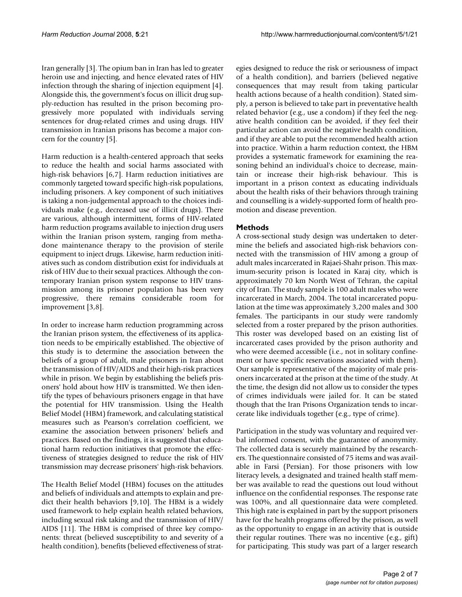Iran generally [3]. The opium ban in Iran has led to greater heroin use and injecting, and hence elevated rates of HIV infection through the sharing of injection equipment [4]. Alongside this, the government's focus on illicit drug supply-reduction has resulted in the prison becoming progressively more populated with individuals serving sentences for drug-related crimes and using drugs. HIV transmission in Iranian prisons has become a major concern for the country [5].

Harm reduction is a health-centered approach that seeks to reduce the health and social harms associated with high-risk behaviors [6,7]. Harm reduction initiatives are commonly targeted toward specific high-risk populations, including prisoners. A key component of such initiatives is taking a non-judgemental approach to the choices individuals make (e.g., decreased use of illicit drugs). There are various, although intermittent, forms of HIV-related harm reduction programs available to injection drug users within the Iranian prison system, ranging from methadone maintenance therapy to the provision of sterile equipment to inject drugs. Likewise, harm reduction initiatives such as condom distribution exist for individuals at risk of HIV due to their sexual practices. Although the contemporary Iranian prison system response to HIV transmission among its prisoner population has been very progressive, there remains considerable room for improvement [3,8].

In order to increase harm reduction programming across the Iranian prison system, the effectiveness of its application needs to be empirically established. The objective of this study is to determine the association between the beliefs of a group of adult, male prisoners in Iran about the transmission of HIV/AIDS and their high-risk practices while in prison. We begin by establishing the beliefs prisoners' hold about how HIV is transmitted. We then identify the types of behaviours prisoners engage in that have the potential for HIV transmission. Using the Health Belief Model (HBM) framework, and calculating statistical measures such as Pearson's correlation coefficient, we examine the association between prisoners' beliefs and practices. Based on the findings, it is suggested that educational harm reduction initiatives that promote the effectiveness of strategies designed to reduce the risk of HIV transmission may decrease prisoners' high-risk behaviors.

The Health Belief Model (HBM) focuses on the attitudes and beliefs of individuals and attempts to explain and predict their health behaviors [9,10]. The HBM is a widely used framework to help explain health related behaviors, including sexual risk taking and the transmission of HIV/ AIDS [11]. The HBM is comprised of three key components: threat (believed susceptibility to and severity of a health condition), benefits (believed effectiveness of strategies designed to reduce the risk or seriousness of impact of a health condition), and barriers (believed negative consequences that may result from taking particular health actions because of a health condition). Stated simply, a person is believed to take part in preventative health related behavior (e.g., use a condom) if they feel the negative health condition can be avoided, if they feel their particular action can avoid the negative health condition, and if they are able to put the recommended health action into practice. Within a harm reduction context, the HBM provides a systematic framework for examining the reasoning behind an individual's choice to decrease, maintain or increase their high-risk behaviour. This is important in a prison context as educating individuals about the health risks of their behaviors through training and counselling is a widely-supported form of health promotion and disease prevention.

# **Methods**

A cross-sectional study design was undertaken to determine the beliefs and associated high-risk behaviors connected with the transmission of HIV among a group of adult males incarcerated in Rajaei-Shahr prison. This maximum-security prison is located in Karaj city, which is approximately 70 km North West of Tehran, the capital city of Iran. The study sample is 100 adult males who were incarcerated in March, 2004. The total incarcerated population at the time was approximately 3,200 males and 300 females. The participants in our study were randomly selected from a roster prepared by the prison authorities. This roster was developed based on an existing list of incarcerated cases provided by the prison authority and who were deemed accessible (i.e., not in solitary confinement or have specific reservations associated with them). Our sample is representative of the majority of male prisoners incarcerated at the prison at the time of the study. At the time, the design did not allow us to consider the types of crimes individuals were jailed for. It can be stated though that the Iran Prisons Organization tends to incarcerate like individuals together (e.g., type of crime).

Participation in the study was voluntary and required verbal informed consent, with the guarantee of anonymity. The collected data is securely maintained by the researchers. The questionnaire consisted of 75 items and was available in Farsi (Persian). For those prisoners with low literacy levels, a designated and trained health staff member was available to read the questions out loud without influence on the confidential responses. The response rate was 100%, and all questionnaire data were completed. This high rate is explained in part by the support prisoners have for the health programs offered by the prison, as well as the opportunity to engage in an activity that is outside their regular routines. There was no incentive (e.g., gift) for participating. This study was part of a larger research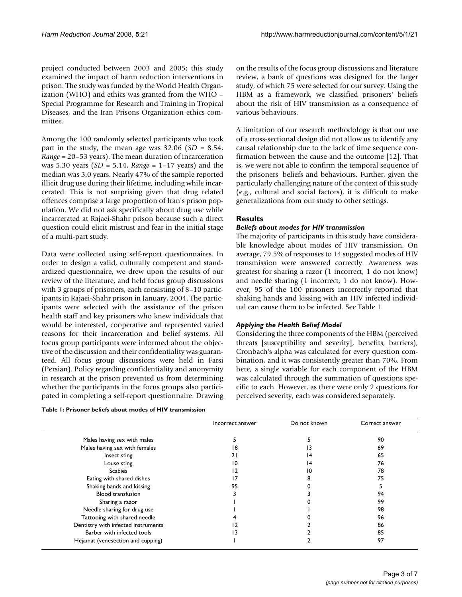project conducted between 2003 and 2005; this study examined the impact of harm reduction interventions in prison. The study was funded by the World Health Organization (WHO) and ethics was granted from the WHO – Special Programme for Research and Training in Tropical Diseases, and the Iran Prisons Organization ethics committee.

Among the 100 randomly selected participants who took part in the study, the mean age was  $32.06$  (*SD* =  $8.54$ , *Range* = 20–53 years). The mean duration of incarceration was 5.30 years (*SD* = 5.14, *Range* = 1–17 years) and the median was 3.0 years. Nearly 47% of the sample reported illicit drug use during their lifetime, including while incarcerated. This is not surprising given that drug related offences comprise a large proportion of Iran's prison population. We did not ask specifically about drug use while incarcerated at Rajaei-Shahr prison because such a direct question could elicit mistrust and fear in the initial stage of a multi-part study.

Data were collected using self-report questionnaires. In order to design a valid, culturally competent and standardized questionnaire, we drew upon the results of our review of the literature, and held focus group discussions with 3 groups of prisoners, each consisting of 8–10 participants in Rajaei-Shahr prison in January, 2004. The participants were selected with the assistance of the prison health staff and key prisoners who knew individuals that would be interested, cooperative and represented varied reasons for their incarceration and belief systems. All focus group participants were informed about the objective of the discussion and their confidentiality was guaranteed. All focus group discussions were held in Farsi (Persian). Policy regarding confidentiality and anonymity in research at the prison prevented us from determining whether the participants in the focus groups also participated in completing a self-report questionnaire. Drawing

|  |  |  |  |  |  |  | Table 1: Prisoner beliefs about modes of HIV transmission |
|--|--|--|--|--|--|--|-----------------------------------------------------------|
|--|--|--|--|--|--|--|-----------------------------------------------------------|

on the results of the focus group discussions and literature review, a bank of questions was designed for the larger study, of which 75 were selected for our survey. Using the HBM as a framework, we classified prisoners' beliefs about the risk of HIV transmission as a consequence of various behaviours.

A limitation of our research methodology is that our use of a cross-sectional design did not allow us to identify any causal relationship due to the lack of time sequence confirmation between the cause and the outcome [12]. That is, we were not able to confirm the temporal sequence of the prisoners' beliefs and behaviours. Further, given the particularly challenging nature of the context of this study (e.g., cultural and social factors), it is difficult to make generalizations from our study to other settings.

### **Results**

#### *Beliefs about modes for HIV transmission*

The majority of participants in this study have considerable knowledge about modes of HIV transmission. On average, 79.5% of responses to 14 suggested modes of HIV transmission were answered correctly. Awareness was greatest for sharing a razor (1 incorrect, 1 do not know) and needle sharing (1 incorrect, 1 do not know). However, 95 of the 100 prisoners incorrectly reported that shaking hands and kissing with an HIV infected individual can cause them to be infected. See Table 1.

### *Applying the Health Belief Model*

Considering the three components of the HBM (perceived threats [susceptibility and severity], benefits, barriers), Cronbach's alpha was calculated for every question combination, and it was consistently greater than 70%. From here, a single variable for each component of the HBM was calculated through the summation of questions specific to each. However, as there were only 2 questions for perceived severity, each was considered separately.

|                                     | Incorrect answer | Do not known | Correct answer |
|-------------------------------------|------------------|--------------|----------------|
| Males having sex with males         |                  |              | 90             |
| Males having sex with females       | 18               |              | 69             |
| Insect sting                        | 21               |              | 65             |
| Louse sting                         | 10               |              | 76             |
| <b>Scabies</b>                      | 12               |              | 78             |
| Eating with shared dishes           |                  |              | 75             |
| Shaking hands and kissing           | 95               |              |                |
| <b>Blood transfusion</b>            |                  |              | 94             |
| Sharing a razor                     |                  |              | 99             |
| Needle sharing for drug use         |                  |              | 98             |
| Tattooing with shared needle        |                  |              | 96             |
| Dentistry with infected instruments |                  |              | 86             |
| Barber with infected tools          | 13               |              | 85             |
| Hejamat (venesection and cupping)   |                  |              | 97             |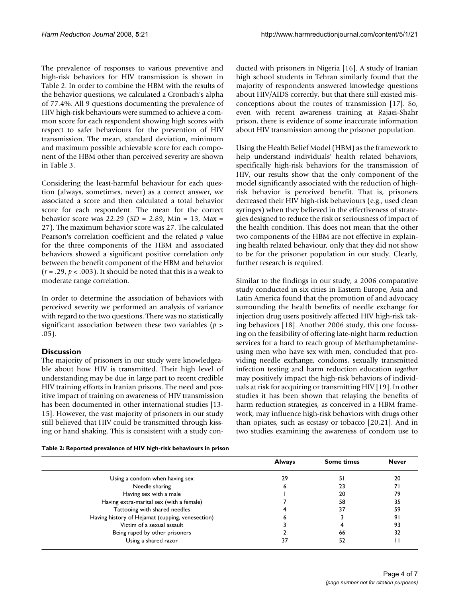The prevalence of responses to various preventive and high-risk behaviors for HIV transmission is shown in Table 2. In order to combine the HBM with the results of the behavior questions, we calculated a Cronbach's alpha of 77.4%. All 9 questions documenting the prevalence of HIV high-risk behaviours were summed to achieve a common score for each respondent showing high scores with respect to safer behaviours for the prevention of HIV transmission. The mean, standard deviation, minimum and maximum possible achievable score for each component of the HBM other than perceived severity are shown in Table 3.

Considering the least-harmful behaviour for each question (always, sometimes, never) as a correct answer, we associated a score and then calculated a total behavior score for each respondent. The mean for the correct behavior score was 22.29 (*SD* = 2.89, Min = 13, Max = 27). The maximum behavior score was 27. The calculated Pearson's correlation coefficient and the related *p* value for the three components of the HBM and associated behaviors showed a significant positive correlation *only* between the benefit component of the HBM and behavior  $(r = .29, p < .003)$ . It should be noted that this is a weak to moderate range correlation.

In order to determine the association of behaviors with perceived severity we performed an analysis of variance with regard to the two questions. There was no statistically significant association between these two variables (*p* > .05).

# **Discussion**

The majority of prisoners in our study were knowledgeable about how HIV is transmitted. Their high level of understanding may be due in large part to recent credible HIV training efforts in Iranian prisons. The need and positive impact of training on awareness of HIV transmission has been documented in other international studies [13- 15]. However, the vast majority of prisoners in our study still believed that HIV could be transmitted through kissing or hand shaking. This is consistent with a study con-

**Table 2: Reported prevalence of HIV high-risk behaviours in prison**

ducted with prisoners in Nigeria [16]. A study of Iranian high school students in Tehran similarly found that the majority of respondents answered knowledge questions about HIV/AIDS correctly, but that there still existed misconceptions about the routes of transmission [17]. So, even with recent awareness training at Rajaei-Shahr prison, there is evidence of some inaccurate information about HIV transmission among the prisoner population.

Using the Health Belief Model (HBM) as the framework to help understand individuals' health related behaviors, specifically high-risk behaviors for the transmission of HIV, our results show that the only component of the model significantly associated with the reduction of highrisk behavior is perceived benefit. That is, prisoners decreased their HIV high-risk behaviours (e.g., used clean syringes) when they believed in the effectiveness of strategies designed to reduce the risk or seriousness of impact of the health condition. This does not mean that the other two components of the HBM are not effective in explaining health related behaviour, only that they did not show to be for the prisoner population in our study. Clearly, further research is required.

Similar to the findings in our study, a 2006 comparative study conducted in six cities in Eastern Europe, Asia and Latin America found that the promotion of and advocacy surrounding the health benefits of needle exchange for injection drug users positively affected HIV high-risk taking behaviors [18]. Another 2006 study, this one focussing on the feasibility of offering late-night harm reduction services for a hard to reach group of Methamphetamineusing men who have sex with men, concluded that providing needle exchange, condoms, sexually transmitted infection testing and harm reduction education *together* may positively impact the high-risk behaviors of individuals at risk for acquiring or transmitting HIV [19]. In other studies it has been shown that relaying the benefits of harm reduction strategies, as conceived in a HBM framework, may influence high-risk behaviors with drugs other than opiates, such as ecstasy or tobacco [20,21]. And in two studies examining the awareness of condom use to

|                                                  | <b>Always</b> | <b>Some times</b> | <b>Never</b> |
|--------------------------------------------------|---------------|-------------------|--------------|
| Using a condom when having sex                   | 29            |                   | 20           |
| Needle sharing                                   |               | 23                |              |
| Having sex with a male                           |               | 20                | 79           |
| Having extra-marital sex (with a female)         |               | 58                | 35           |
| Tattooing with shared needles                    |               | 37                | 59           |
| Having history of Hejamat (cupping, venesection) |               |                   | 91           |
| Victim of a sexual assault                       |               |                   | 93           |
| Being raped by other prisoners                   |               | 66                | 32           |
| Using a shared razor                             |               |                   |              |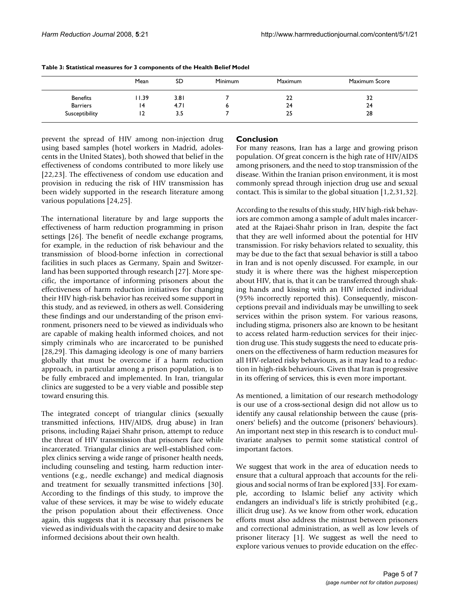|                 | Mean  | SD   | Minimum | Maximum | Maximum Score |
|-----------------|-------|------|---------|---------|---------------|
| <b>Benefits</b> | 11.39 | 3.81 |         | 22      | 32            |
| <b>Barriers</b> | 14    | 4.7  |         | 24      | 24            |
| Susceptibility  | 12    | 3.5  |         | 25      | 28            |

| Table 3: Statistical measures for 3 components of the Health Belief Model |  |  |  |
|---------------------------------------------------------------------------|--|--|--|
|---------------------------------------------------------------------------|--|--|--|

prevent the spread of HIV among non-injection drug using based samples (hotel workers in Madrid, adolescents in the United States), both showed that belief in the effectiveness of condoms contributed to more likely use [22,23]. The effectiveness of condom use education and provision in reducing the risk of HIV transmission has been widely supported in the research literature among various populations [24,25].

The international literature by and large supports the effectiveness of harm reduction programming in prison settings [26]. The benefit of needle exchange programs, for example, in the reduction of risk behaviour and the transmission of blood-borne infection in correctional facilities in such places as Germany, Spain and Switzerland has been supported through research [27]. More specific, the importance of informing prisoners about the effectiveness of harm reduction initiatives for changing their HIV high-risk behavior has received some support in this study, and as reviewed, in others as well. Considering these findings and our understanding of the prison environment, prisoners need to be viewed as individuals who are capable of making health informed choices, and not simply criminals who are incarcerated to be punished [28,29]. This damaging ideology is one of many barriers globally that must be overcome if a harm reduction approach, in particular among a prison population, is to be fully embraced and implemented. In Iran, triangular clinics are suggested to be a very viable and possible step toward ensuring this.

The integrated concept of triangular clinics (sexually transmitted infections, HIV/AIDS, drug abuse) in Iran prisons, including Rajaei Shahr prison, attempt to reduce the threat of HIV transmission that prisoners face while incarcerated. Triangular clinics are well-established complex clinics serving a wide range of prisoner health needs, including counseling and testing, harm reduction interventions (e.g., needle exchange) and medical diagnosis and treatment for sexually transmitted infections [30]. According to the findings of this study, to improve the value of these services, it may be wise to widely educate the prison population about their effectiveness. Once again, this suggests that it is necessary that prisoners be viewed as individuals with the capacity and desire to make informed decisions about their own health.

## **Conclusion**

For many reasons, Iran has a large and growing prison population. Of great concern is the high rate of HIV/AIDS among prisoners, and the need to stop transmission of the disease. Within the Iranian prison environment, it is most commonly spread through injection drug use and sexual contact. This is similar to the global situation [1,2,31,32].

According to the results of this study, HIV high-risk behaviors are common among a sample of adult males incarcerated at the Rajaei-Shahr prison in Iran, despite the fact that they are well informed about the potential for HIV transmission. For risky behaviors related to sexuality, this may be due to the fact that sexual behavior is still a taboo in Iran and is not openly discussed. For example, in our study it is where there was the highest misperception about HIV, that is, that it can be transferred through shaking hands and kissing with an HIV infected individual (95% incorrectly reported this). Consequently, misconceptions prevail and individuals may be unwilling to seek services within the prison system. For various reasons, including stigma, prisoners also are known to be hesitant to access related harm-reduction services for their injection drug use. This study suggests the need to educate prisoners on the effectiveness of harm reduction measures for all HIV-related risky behaviours, as it may lead to a reduction in high-risk behaviours. Given that Iran is progressive in its offering of services, this is even more important.

As mentioned, a limitation of our research methodology is our use of a cross-sectional design did not allow us to identify any causal relationship between the cause (prisoners' beliefs) and the outcome (prisoners' behaviours). An important next step in this research is to conduct multivariate analyses to permit some statistical control of important factors.

We suggest that work in the area of education needs to ensure that a cultural approach that accounts for the religious and social norms of Iran be explored [33]. For example, according to Islamic belief any activity which endangers an individual's life is strictly prohibited (e.g., illicit drug use). As we know from other work, education efforts must also address the mistrust between prisoners and correctional administration, as well as low levels of prisoner literacy [1]. We suggest as well the need to explore various venues to provide education on the effec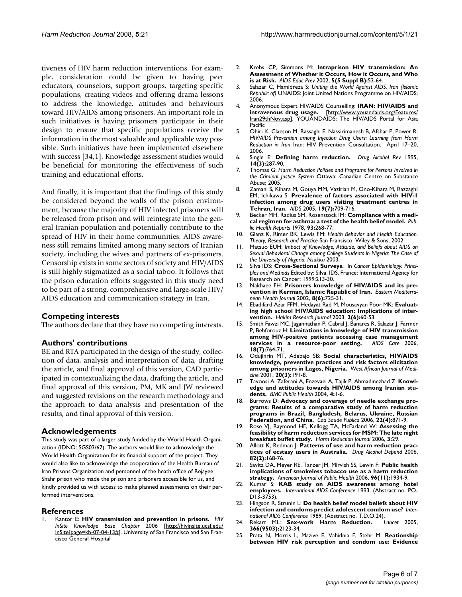tiveness of HIV harm reduction interventions. For example, consideration could be given to having peer educators, counselors, support groups, targeting specific populations, creating videos and offering drama lessons to address the knowledge, attitudes and behaviours toward HIV/AIDS among prisoners. An important role in such initiatives is having prisoners participate in their design to ensure that specific populations receive the information in the most valuable and applicable way possible. Such initiatives have been implemented elsewhere with success [34,1]. Knowledge assessment studies would be beneficial for monitoring the effectiveness of such training and educational efforts.

And finally, it is important that the findings of this study be considered beyond the walls of the prison environment, because the majority of HIV infected prisoners will be released from prison and will reintegrate into the general Iranian population and potentially contribute to the spread of HIV in their home communities. AIDS awareness still remains limited among many sectors of Iranian society, including the wives and partners of ex-prisoners. Censorship exists in some sectors of society and HIV/AIDS is still highly stigmatized as a social taboo. It follows that the prison education efforts suggested in this study need to be part of a strong, comprehensive and large-scale HIV/ AIDS education and communication strategy in Iran.

### **Competing interests**

The authors declare that they have no competing interests.

#### **Authors' contributions**

BE and RTA participated in the design of the study, collection of data, analysis and interpretation of data, drafting the article, and final approval of this version, CAD participated in contextualizing the data, drafting the article, and final approval of this version, PM, MK and JW reviewed and suggested revisions on the research methodology and the approach to data analysis and presentation of the results, and final approval of this version.

#### **Acknowledgements**

This study was part of a larger study funded by the World Health Organization (IDNO: SGS03/67). The authors would like to acknowledge the World Health Organization for its financial support of the project. They would also like to acknowledge the cooperation of the Health Bureau of Iran Prisons Organization and personnel of the heath office of Rejayee Shahr prison who made the prison and prisoners accessible for us, and kindly provided us with access to make planned assessments on their performed interventions.

#### **References**

1. Kantor E: **HIV transmission and prevention in prisons.** *HIV InSite Knowledge Base Chapter* 2006 [[http://hivinsite.ucsf.edu/](http://hivinsite.ucsf.edu/InSite?page=kb-07-04-13#) [InSite?page=kb-07-04-13#](http://hivinsite.ucsf.edu/InSite?page=kb-07-04-13#)]. University of San Francisco and San Francisco General Hospital

- 2. Krebs CP, Simmons M: **Intraprison HIV transmission: An Assessment of Whether it Occurs, How it Occurs, and Who is at Risk.** *AIDS Educ Prev* 2002, **5(5 Suppl B):**53-64.
- 3. Salazar C, Hamidreza S: *Uniting the World Against AIDS. Iran (Islamic Republic of)* UNAIDS: Joint United Nations Programme on HIV/AIDS; 2006.
- 4. Anonymous Expert HIV/AIDS Counselling: **IRAN: HIV/AIDS and intravenous drug usage.** [[http://www.youandaids.org/Features/](http://www.youandaids.org/Features/Iran29thNov.asp) [Iran29thNov.asp\]](http://www.youandaids.org/Features/Iran29thNov.asp). YOUANDAIDS: The HIV/AIDS Portal for Asia Pacific
- 5. Ohiri K, Claeson M, Rassaghi E, Nassirimanesh B, Afshar P, Power R: *HIV/AIDS Prevention among Injection Drug Users: Learning from Harm Reduction in Iran* Iran: HIV Prevention Consultation. April 17–20, 2006.
- 6. Single E: **[Defining harm reduction.](http://www.ncbi.nlm.nih.gov/entrez/query.fcgi?cmd=Retrieve&db=PubMed&dopt=Abstract&list_uids=16203323)** *Drug Alcohol Rev* 1995, **14(3):**287-90.
- 7. Thomas G: *Harm Reduction Policies and Programs for Persons Involved in the Criminal Justice System* Ottawa: Canadian Centre on Substance Abuse; 2005.
- 8. Zamani S, Kihara M, Gouya MM, Vazirian M, Ono-Kihara M, Razzaghi EM, Ichikawa S: **[Prevalence of factors associated with HIV-1](http://www.ncbi.nlm.nih.gov/entrez/query.fcgi?cmd=Retrieve&db=PubMed&dopt=Abstract&list_uids=15821397) [infection among drug users visiting treatment centres in](http://www.ncbi.nlm.nih.gov/entrez/query.fcgi?cmd=Retrieve&db=PubMed&dopt=Abstract&list_uids=15821397) [Tehran, Iran.](http://www.ncbi.nlm.nih.gov/entrez/query.fcgi?cmd=Retrieve&db=PubMed&dopt=Abstract&list_uids=15821397)** *AIDS* 2005, **19(7):**709-716.
- 9. Becker MH, Radius SM, Rosenstock IM: **[Compliance with a medi](http://www.ncbi.nlm.nih.gov/entrez/query.fcgi?cmd=Retrieve&db=PubMed&dopt=Abstract&list_uids=652949)[cal regimen for asthma: a test of the health belief model.](http://www.ncbi.nlm.nih.gov/entrez/query.fcgi?cmd=Retrieve&db=PubMed&dopt=Abstract&list_uids=652949)** *Public Health Reports* 1978, **93:**268-77.
- 10. Glanz K, Rimer BK, Lewis FM: *Health Behavior and Health Education. Theory, Research and Practice* San Fransisco: Wiley & Sons; 2002.
- 11. Matsuo EUH: *Impact of Knowledge, Attitude, and Beliefs about AIDS on Sexual Behavioral Change among College Students in Nigeria: The Case of the University of Nigeria. Nsukka* 2003.
- 12. Silva IDS: **Cross-Sectional Surveys.** In *Cancer Epidemiology: Principles and Methods* Edited by: Silva, IDS. France: International Agency for Research on Cancer; 1999:213-30.
- 13. Nakhaee FH: **[Prisoners knowledge of HIV/AIDS and its pre](http://www.ncbi.nlm.nih.gov/entrez/query.fcgi?cmd=Retrieve&db=PubMed&dopt=Abstract&list_uids=15568449)[vention in Kerman, Islamic Republic of Iran.](http://www.ncbi.nlm.nih.gov/entrez/query.fcgi?cmd=Retrieve&db=PubMed&dopt=Abstract&list_uids=15568449)** *Eastern Mediterranean Health Journal* 2002, **8(6):**725-31.
- 14. Ebadifard Azar FFM, Hedayat Rad M, Mousavyan Poor MK: **Evaluating high school HIV/AIDS education: Implications of intervention.** *Hakim Research Journal* 2003, **2(6):**60-53.
- Smith Fawzi MC, Jagannathan P, Cabral J, Banares R, Salazar J, Farmer P, Behforouz H: **[Limitations in knowledge of HIV transmission](http://www.ncbi.nlm.nih.gov/entrez/query.fcgi?cmd=Retrieve&db=PubMed&dopt=Abstract&list_uids=16971286) [among HIV-positive patients accessing case management](http://www.ncbi.nlm.nih.gov/entrez/query.fcgi?cmd=Retrieve&db=PubMed&dopt=Abstract&list_uids=16971286)** [services in a resource-poor setting.](http://www.ncbi.nlm.nih.gov/entrez/query.fcgi?cmd=Retrieve&db=PubMed&dopt=Abstract&list_uids=16971286) **18(7):**764-71.
- 16. Odujinrin MT, Adebajo SB: **[Social characteristics, HIV/AIDS](http://www.ncbi.nlm.nih.gov/entrez/query.fcgi?cmd=Retrieve&db=PubMed&dopt=Abstract&list_uids=11922150) [knowledge, preventive practices and risk factors elicitation](http://www.ncbi.nlm.nih.gov/entrez/query.fcgi?cmd=Retrieve&db=PubMed&dopt=Abstract&list_uids=11922150) [among prisoners in Lagos, Nigeria.](http://www.ncbi.nlm.nih.gov/entrez/query.fcgi?cmd=Retrieve&db=PubMed&dopt=Abstract&list_uids=11922150)** *West African Journal of Medicine* 2001, **20(3):**191-8.
- 17. Tavoosi A, Zaferani A, Enzevaei A, Tajik P, Ahmadinezhad Z: **[Knowl](http://www.ncbi.nlm.nih.gov/entrez/query.fcgi?cmd=Retrieve&db=PubMed&dopt=Abstract&list_uids=14706119)[edge and attitudes towards HIV/AIDS among Iranian stu](http://www.ncbi.nlm.nih.gov/entrez/query.fcgi?cmd=Retrieve&db=PubMed&dopt=Abstract&list_uids=14706119)[dents.](http://www.ncbi.nlm.nih.gov/entrez/query.fcgi?cmd=Retrieve&db=PubMed&dopt=Abstract&list_uids=14706119)** *BMC Public Health* 2004, **4:**1-6.
- 18. Burrows D: **[Advocacy and coverage of needle exchange pro](http://www.ncbi.nlm.nih.gov/entrez/query.fcgi?cmd=Retrieve&db=PubMed&dopt=Abstract&list_uids=16612440)[grams: Results of a comparative study of harm reduction](http://www.ncbi.nlm.nih.gov/entrez/query.fcgi?cmd=Retrieve&db=PubMed&dopt=Abstract&list_uids=16612440) programs in Brazil, Bangladesh, Belarus, Ukraine, Russian [Federation, and China.](http://www.ncbi.nlm.nih.gov/entrez/query.fcgi?cmd=Retrieve&db=PubMed&dopt=Abstract&list_uids=16612440)** *Cad Saude Publica* 2006, **22(4):**871-9.
- 19. Rose VJ, Raymond HF, Kellogg TA, McFarland W: **[Assessing the](http://www.ncbi.nlm.nih.gov/entrez/query.fcgi?cmd=Retrieve&db=PubMed&dopt=Abstract&list_uids=17018154) [feasibility of harm reduction services for MSM: The late night](http://www.ncbi.nlm.nih.gov/entrez/query.fcgi?cmd=Retrieve&db=PubMed&dopt=Abstract&list_uids=17018154) [breakfast buffet study.](http://www.ncbi.nlm.nih.gov/entrez/query.fcgi?cmd=Retrieve&db=PubMed&dopt=Abstract&list_uids=17018154)** *Harm Reduction Journal* 2006, **3:**29.
- 20. Allott K, Redman J: **[Patterns of use and harm reduction prac](http://www.ncbi.nlm.nih.gov/entrez/query.fcgi?cmd=Retrieve&db=PubMed&dopt=Abstract&list_uids=16226850)[tices of ecstasy users in Australia.](http://www.ncbi.nlm.nih.gov/entrez/query.fcgi?cmd=Retrieve&db=PubMed&dopt=Abstract&list_uids=16226850)** *Drug Alcohol Depend* 2006, **82(2):**168-76.
- 21. Savitz DA, Meyer RE, Tanzer JM, Mirvish SS, Lewin F: **[Public health](http://www.ncbi.nlm.nih.gov/entrez/query.fcgi?cmd=Retrieve&db=PubMed&dopt=Abstract&list_uids=17018821) [implications of smokeless tobacco use as a harm reduction](http://www.ncbi.nlm.nih.gov/entrez/query.fcgi?cmd=Retrieve&db=PubMed&dopt=Abstract&list_uids=17018821) [strategy.](http://www.ncbi.nlm.nih.gov/entrez/query.fcgi?cmd=Retrieve&db=PubMed&dopt=Abstract&list_uids=17018821)** *American Journal of Public Health* 2006, **96(11):**1934-9.
- 22. Kumar S: **KAB study on AIDS awareness among hotel employees.** *International AIDS Conference* 1993. (Abstract no. PO-D13-3753).
- 23. Hingson R, Strunin L: **Do health belief model beliefs about HIV infection and condoms predict adolescent condom use?** *Inter*mational AIDS Conference 1989. (Abstract no. T.D.O.24).<br>Rekart ML: **Sex-work Harm Reduction.** Lancet 2005.
- 24. Rekart ML: [Sex-work Harm Reduction.](http://www.ncbi.nlm.nih.gov/entrez/query.fcgi?cmd=Retrieve&db=PubMed&dopt=Abstract&list_uids=16360791) **366(9503):**2123-34.
- 25. Prata N, Morris L, Mazive E, Vahidnia F, Stehr M: **[Reationship](http://www.ncbi.nlm.nih.gov/entrez/query.fcgi?cmd=Retrieve&db=PubMed&dopt=Abstract&list_uids=17237016) [between HIV risk perception and condom use: Evidence](http://www.ncbi.nlm.nih.gov/entrez/query.fcgi?cmd=Retrieve&db=PubMed&dopt=Abstract&list_uids=17237016)**